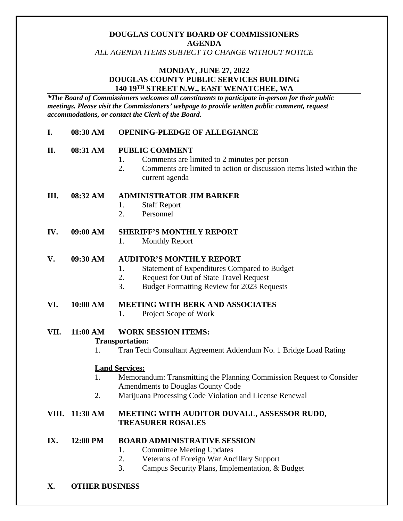# **DOUGLAS COUNTY BOARD OF COMMISSIONERS AGENDA**

*ALL AGENDA ITEMS SUBJECT TO CHANGE WITHOUT NOTICE*

### **MONDAY, JUNE 27, 2022 DOUGLAS COUNTY PUBLIC SERVICES BUILDING 140 19TH STREET N.W., EAST WENATCHEE, WA**

*\*The Board of Commissioners welcomes all constituents to participate in-person for their public meetings. Please visit the Commissioners' webpage to provide written public comment, request accommodations, or contact the Clerk of the Board.* 

#### **I. 08:30 AM OPENING-PLEDGE OF ALLEGIANCE**

### **II. 08:31 AM PUBLIC COMMENT**

- 1. Comments are limited to 2 minutes per person
- 2. Comments are limited to action or discussion items listed within the current agenda

### **III. 08:32 AM ADMINISTRATOR JIM BARKER**

- 1. Staff Report
- 2. Personnel

### **IV. 09:00 AM SHERIFF'S MONTHLY REPORT**

1. Monthly Report

#### **V. 09:30 AM AUDITOR'S MONTHLY REPORT**

- 1. Statement of Expenditures Compared to Budget
- 2. Request for Out of State Travel Request
- 3. Budget Formatting Review for 2023 Requests

#### **VI. 10:00 AM MEETING WITH BERK AND ASSOCIATES**

1. Project Scope of Work

# **VII. 11:00 AM WORK SESSION ITEMS:**

#### **Transportation:**

1. Tran Tech Consultant Agreement Addendum No. 1 Bridge Load Rating

# **Land Services:**

- 1. Memorandum: Transmitting the Planning Commission Request to Consider Amendments to Douglas County Code
- 2. Marijuana Processing Code Violation and License Renewal

### **VIII. 11:30 AM MEETING WITH AUDITOR DUVALL, ASSESSOR RUDD, TREASURER ROSALES**

#### **IX. 12:00 PM BOARD ADMINISTRATIVE SESSION**

- 1. Committee Meeting Updates
- 2. Veterans of Foreign War Ancillary Support
- 3. Campus Security Plans, Implementation, & Budget
- **X. OTHER BUSINESS**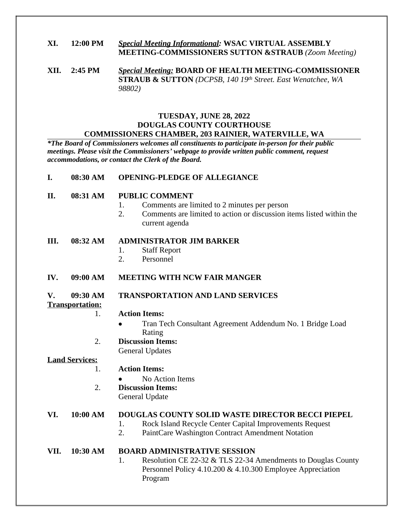# **XI. 12:00 PM** *Special Meeting Informational:* **WSAC VIRTUAL ASSEMBLY MEETING-COMMISSIONERS SUTTON &STRAUB** *(Zoom Meeting)*

**XII. 2:45 PM** *Special Meeting:* **BOARD OF HEALTH MEETING-COMMISSIONER STRAUB & SUTTON** *(DCPSB, 140 19th Street. East Wenatchee, WA 98802)*

#### **TUESDAY, JUNE 28, 2022 DOUGLAS COUNTY COURTHOUSE COMMISSIONERS CHAMBER, 203 RAINIER, WATERVILLE, WA**

*\*The Board of Commissioners welcomes all constituents to participate in-person for their public meetings. Please visit the Commissioners' webpage to provide written public comment, request accommodations, or contact the Clerk of the Board.* 

| 08:30 AM | <b>OPENING-PLEDGE OF ALLEGIANCE</b> |
|----------|-------------------------------------|
|          |                                     |

- **II. 08:31 AM PUBLIC COMMENT**
	- 1. Comments are limited to 2 minutes per person
	- 2. Comments are limited to action or discussion items listed within the current agenda

#### **III. 08:32 AM ADMINISTRATOR JIM BARKER**

- 1. Staff Report
- 2. Personnel
- **IV. 09:00 AM MEETING WITH NCW FAIR MANGER**

#### **V. 09:30 AM TRANSPORTATION AND LAND SERVICES**

#### **Transportation:**

#### 1. **Action Items:**

- Tran Tech Consultant Agreement Addendum No. 1 Bridge Load Rating
- 2. **Discussion Items:** General Updates

#### **Land Services:**

- 1. **Action Items:**
	- No Action Items
- 2. **Discussion Items:** General Update

# **VI. 10:00 AM DOUGLAS COUNTY SOLID WASTE DIRECTOR BECCI PIEPEL**

- 1. Rock Island Recycle Center Capital Improvements Request
- 2. PaintCare Washington Contract Amendment Notation

# **VII. 10:30 AM BOARD ADMINISTRATIVE SESSION**

1. Resolution CE 22-32 & TLS 22-34 Amendments to Douglas County Personnel Policy 4.10.200 & 4.10.300 Employee Appreciation Program